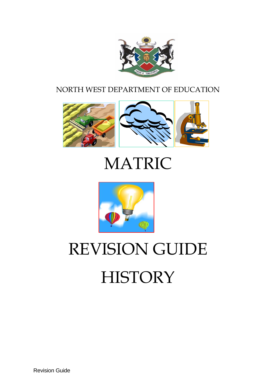

# NORTH WEST DEPARTMENT OF EDUCATION



# MATRIC



# REVISION GUIDE **HISTORY**